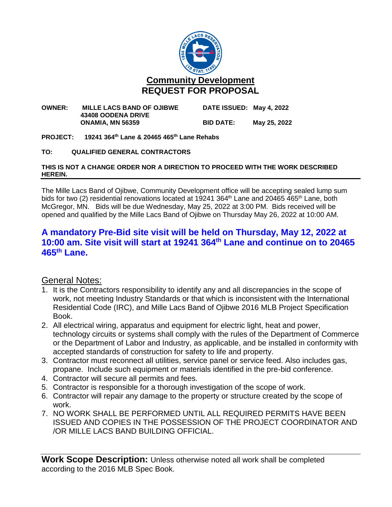

#### **OWNER: MILLE LACS BAND OF OJIBWE DATE ISSUED: May 4, 2022 43408 OODENA DRIVE ONAMIA, MN 56359 BID DATE: May 25, 2022**

### **PROJECT: 19241 364th Lane & 20465 465th Lane Rehabs**

### **TO: QUALIFIED GENERAL CONTRACTORS**

#### **THIS IS NOT A CHANGE ORDER NOR A DIRECTION TO PROCEED WITH THE WORK DESCRIBED HEREIN.**

The Mille Lacs Band of Ojibwe, Community Development office will be accepting sealed lump sum bids for two (2) residential renovations located at 19241 364<sup>th</sup> Lane and 20465 465<sup>th</sup> Lane, both McGregor, MN. Bids will be due Wednesday, May 25, 2022 at 3:00 PM. Bids received will be opened and qualified by the Mille Lacs Band of Ojibwe on Thursday May 26, 2022 at 10:00 AM.

# **A mandatory Pre-Bid site visit will be held on Thursday, May 12, 2022 at 10:00 am. Site visit will start at 19241 364th Lane and continue on to 20465 465th Lane.**

## General Notes:

- 1. It is the Contractors responsibility to identify any and all discrepancies in the scope of work, not meeting Industry Standards or that which is inconsistent with the International Residential Code (IRC), and Mille Lacs Band of Ojibwe 2016 MLB Project Specification Book.
- 2. All electrical wiring, apparatus and equipment for electric light, heat and power, technology circuits or systems shall comply with the rules of the Department of Commerce or the Department of Labor and Industry, as applicable, and be installed in conformity with accepted standards of construction for safety to life and property.
- 3. Contractor must reconnect all utilities, service panel or service feed. Also includes gas, propane. Include such equipment or materials identified in the pre-bid conference.
- 4. Contractor will secure all permits and fees.
- 5. Contractor is responsible for a thorough investigation of the scope of work.
- 6. Contractor will repair any damage to the property or structure created by the scope of work.
- 7. NO WORK SHALL BE PERFORMED UNTIL ALL REQUIRED PERMITS HAVE BEEN ISSUED AND COPIES IN THE POSSESSION OF THE PROJECT COORDINATOR AND /OR MILLE LACS BAND BUILDING OFFICIAL.

**Work Scope Description:** Unless otherwise noted all work shall be completed according to the 2016 MLB Spec Book.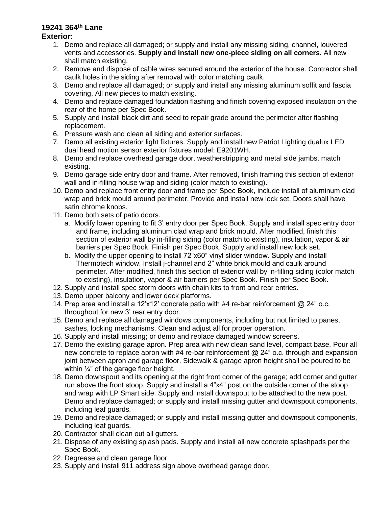#### **19241 364th Lane Exterior:**

- 1. Demo and replace all damaged; or supply and install any missing siding, channel, louvered vents and accessories. **Supply and install new one-piece siding on all corners.** All new shall match existing.
- 2. Remove and dispose of cable wires secured around the exterior of the house. Contractor shall caulk holes in the siding after removal with color matching caulk.
- 3. Demo and replace all damaged; or supply and install any missing aluminum soffit and fascia covering. All new pieces to match existing.
- 4. Demo and replace damaged foundation flashing and finish covering exposed insulation on the rear of the home per Spec Book.
- 5. Supply and install black dirt and seed to repair grade around the perimeter after flashing replacement.
- 6. Pressure wash and clean all siding and exterior surfaces.
- 7. Demo all existing exterior light fixtures. Supply and install new Patriot Lighting dualux LED dual head motion sensor exterior fixtures model: E9201WH.
- 8. Demo and replace overhead garage door, weatherstripping and metal side jambs, match existing.
- 9. Demo garage side entry door and frame. After removed, finish framing this section of exterior wall and in-filling house wrap and siding (color match to existing).
- 10. Demo and replace front entry door and frame per Spec Book, include install of aluminum clad wrap and brick mould around perimeter. Provide and install new lock set. Doors shall have satin chrome knobs.
- 11. Demo both sets of patio doors.
	- a. Modify lower opening to fit 3' entry door per Spec Book. Supply and install spec entry door and frame, including aluminum clad wrap and brick mould. After modified, finish this section of exterior wall by in-filling siding (color match to existing), insulation, vapor & air barriers per Spec Book. Finish per Spec Book. Supply and install new lock set.
	- b. Modify the upper opening to install 72"x60" vinyl slider window. Supply and install Thermotech window. Install j-channel and 2" white brick mould and caulk around perimeter. After modified, finish this section of exterior wall by in-filling siding (color match to existing), insulation, vapor & air barriers per Spec Book. Finish per Spec Book.
- 12. Supply and install spec storm doors with chain kits to front and rear entries.
- 13. Demo upper balcony and lower deck platforms.
- 14. Prep area and install a 12'x12' concrete patio with #4 re-bar reinforcement @ 24" o.c. throughout for new 3' rear entry door.
- 15. Demo and replace all damaged windows components, including but not limited to panes, sashes, locking mechanisms. Clean and adjust all for proper operation.
- 16. Supply and install missing; or demo and replace damaged window screens.
- 17. Demo the existing garage apron. Prep area with new clean sand level, compact base. Pour all new concrete to replace apron with  $#4$  re-bar reinforcement  $@24"$  o.c. through and expansion joint between apron and garage floor. Sidewalk & garage apron height shall be poured to be within  $\frac{1}{4}$ " of the garage floor height.
- 18. Demo downspout and its opening at the right front corner of the garage; add corner and gutter run above the front stoop. Supply and install a 4"x4" post on the outside corner of the stoop and wrap with LP Smart side. Supply and install downspout to be attached to the new post. Demo and replace damaged; or supply and install missing gutter and downspout components, including leaf guards.
- 19. Demo and replace damaged; or supply and install missing gutter and downspout components, including leaf guards.
- 20. Contractor shall clean out all gutters.
- 21. Dispose of any existing splash pads. Supply and install all new concrete splashpads per the Spec Book.
- 22. Degrease and clean garage floor.
- 23. Supply and install 911 address sign above overhead garage door.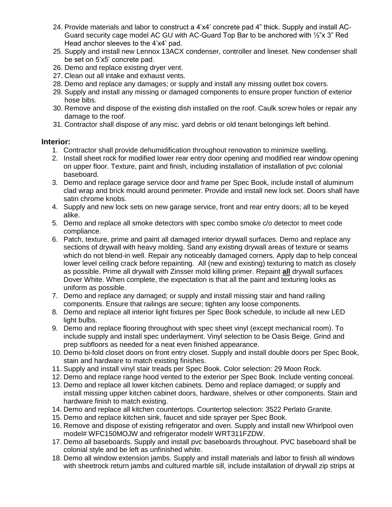- 24. Provide materials and labor to construct a 4'x4' concrete pad 4" thick. Supply and install AC-Guard security cage model AC GU with AC-Guard Top Bar to be anchored with ½"x 3" Red Head anchor sleeves to the 4'x4' pad.
- 25. Supply and install new Lennox 13ACX condenser, controller and lineset. New condenser shall be set on 5'x5' concrete pad.
- 26. Demo and replace existing dryer vent.
- 27. Clean out all intake and exhaust vents.
- 28. Demo and replace any damages; or supply and install any missing outlet box covers.
- 29. Supply and install any missing or damaged components to ensure proper function of exterior hose bibs.
- 30. Remove and dispose of the existing dish installed on the roof. Caulk screw holes or repair any damage to the roof.
- 31. Contractor shall dispose of any misc. yard debris or old tenant belongings left behind.

### **Interior:**

- 1. Contractor shall provide dehumidification throughout renovation to minimize swelling.
- 2. Install sheet rock for modified lower rear entry door opening and modified rear window opening on upper floor. Texture, paint and finish, including installation of installation of pvc colonial baseboard.
- 3. Demo and replace garage service door and frame per Spec Book, include install of aluminum clad wrap and brick mould around perimeter. Provide and install new lock set. Doors shall have satin chrome knobs.
- 4. Supply and new lock sets on new garage service, front and rear entry doors; all to be keyed alike.
- 5. Demo and replace all smoke detectors with spec combo smoke c/o detector to meet code compliance.
- 6. Patch, texture, prime and paint all damaged interior drywall surfaces. Demo and replace any sections of drywall with heavy molding. Sand any existing drywall areas of texture or seams which do not blend-in well. Repair any noticeably damaged corners. Apply dap to help conceal lower level ceiling crack before repainting. All (new and existing) texturing to match as closely as possible. Prime all drywall with Zinsser mold killing primer. Repaint **all** drywall surfaces Dover White. When complete, the expectation is that all the paint and texturing looks as uniform as possible.
- 7. Demo and replace any damaged; or supply and install missing stair and hand railing components. Ensure that railings are secure; tighten any loose components.
- 8. Demo and replace all interior light fixtures per Spec Book schedule, to include all new LED light bulbs.
- 9. Demo and replace flooring throughout with spec sheet vinyl (except mechanical room). To include supply and install spec underlayment. Vinyl selection to be Oasis Beige. Grind and prep subfloors as needed for a neat even finished appearance.
- 10. Demo bi-fold closet doors on front entry closet. Supply and install double doors per Spec Book, stain and hardware to match existing finishes.
- 11. Supply and install vinyl stair treads per Spec Book. Color selection: 29 Moon Rock.
- 12. Demo and replace range hood vented to the exterior per Spec Book. Include venting conceal.
- 13. Demo and replace all lower kitchen cabinets. Demo and replace damaged; or supply and install missing upper kitchen cabinet doors, hardware, shelves or other components. Stain and hardware finish to match existing.
- 14. Demo and replace all kitchen countertops. Countertop selection: 3522 Perlato Granite.
- 15. Demo and replace kitchen sink, faucet and side sprayer per Spec Book.
- 16. Remove and dispose of existing refrigerator and oven. Supply and install new Whirlpool oven model# WFC150MOJW and refrigerator model# WRT311FZDW.
- 17. Demo all baseboards. Supply and install pvc baseboards throughout. PVC baseboard shall be colonial style and be left as unfinished white.
- 18. Demo all window extension jambs. Supply and install materials and labor to finish all windows with sheetrock return jambs and cultured marble sill, include installation of drywall zip strips at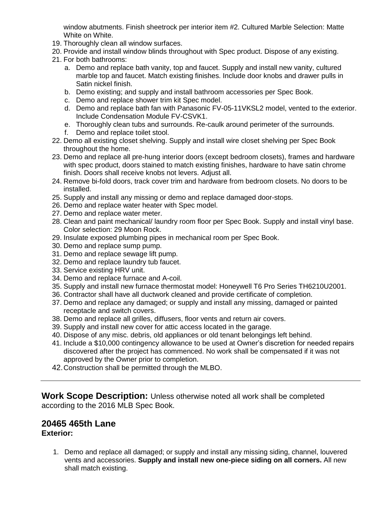window abutments. Finish sheetrock per interior item #2. Cultured Marble Selection: Matte White on White.

- 19. Thoroughly clean all window surfaces.
- 20. Provide and install window blinds throughout with Spec product. Dispose of any existing.
- 21. For both bathrooms:
	- a. Demo and replace bath vanity, top and faucet. Supply and install new vanity, cultured marble top and faucet. Match existing finishes. Include door knobs and drawer pulls in Satin nickel finish.
	- b. Demo existing; and supply and install bathroom accessories per Spec Book.
	- c. Demo and replace shower trim kit Spec model.
	- d. Demo and replace bath fan with Panasonic FV-05-11VKSL2 model, vented to the exterior. Include Condensation Module FV-CSVK1.
	- e. Thoroughly clean tubs and surrounds. Re-caulk around perimeter of the surrounds.
	- f. Demo and replace toilet stool.
- 22. Demo all existing closet shelving. Supply and install wire closet shelving per Spec Book throughout the home.
- 23. Demo and replace all pre-hung interior doors (except bedroom closets), frames and hardware with spec product, doors stained to match existing finishes, hardware to have satin chrome finish. Doors shall receive knobs not levers. Adjust all.
- 24. Remove bi-fold doors, track cover trim and hardware from bedroom closets. No doors to be installed.
- 25. Supply and install any missing or demo and replace damaged door-stops.
- 26. Demo and replace water heater with Spec model.
- 27. Demo and replace water meter.
- 28. Clean and paint mechanical/ laundry room floor per Spec Book. Supply and install vinyl base. Color selection: 29 Moon Rock.
- 29. Insulate exposed plumbing pipes in mechanical room per Spec Book.
- 30. Demo and replace sump pump.
- 31. Demo and replace sewage lift pump.
- 32. Demo and replace laundry tub faucet.
- 33. Service existing HRV unit.
- 34. Demo and replace furnace and A-coil.
- 35. Supply and install new furnace thermostat model: Honeywell T6 Pro Series TH6210U2001.
- 36. Contractor shall have all ductwork cleaned and provide certificate of completion.
- 37. Demo and replace any damaged; or supply and install any missing, damaged or painted receptacle and switch covers.
- 38. Demo and replace all grilles, diffusers, floor vents and return air covers.
- 39. Supply and install new cover for attic access located in the garage.
- 40. Dispose of any misc. debris, old appliances or old tenant belongings left behind.
- 41. Include a \$10,000 contingency allowance to be used at Owner's discretion for needed repairs discovered after the project has commenced. No work shall be compensated if it was not approved by the Owner prior to completion.
- 42.Construction shall be permitted through the MLBO.

**Work Scope Description:** Unless otherwise noted all work shall be completed according to the 2016 MLB Spec Book.

# **20465 465th Lane**

### **Exterior:**

1. Demo and replace all damaged; or supply and install any missing siding, channel, louvered vents and accessories. **Supply and install new one-piece siding on all corners.** All new shall match existing.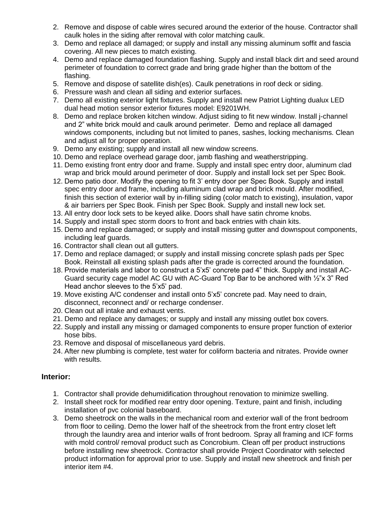- 2. Remove and dispose of cable wires secured around the exterior of the house. Contractor shall caulk holes in the siding after removal with color matching caulk.
- 3. Demo and replace all damaged; or supply and install any missing aluminum soffit and fascia covering. All new pieces to match existing.
- 4. Demo and replace damaged foundation flashing. Supply and install black dirt and seed around perimeter of foundation to correct grade and bring grade higher than the bottom of the flashing.
- 5. Remove and dispose of satellite dish(es). Caulk penetrations in roof deck or siding.
- 6. Pressure wash and clean all siding and exterior surfaces.
- 7. Demo all existing exterior light fixtures. Supply and install new Patriot Lighting dualux LED dual head motion sensor exterior fixtures model: E9201WH.
- 8. Demo and replace broken kitchen window. Adjust siding to fit new window. Install j-channel and 2" white brick mould and caulk around perimeter. Demo and replace all damaged windows components, including but not limited to panes, sashes, locking mechanisms. Clean and adjust all for proper operation.
- 9. Demo any existing; supply and install all new window screens.
- 10. Demo and replace overhead garage door, jamb flashing and weatherstripping.
- 11. Demo existing front entry door and frame. Supply and install spec entry door, aluminum clad wrap and brick mould around perimeter of door. Supply and install lock set per Spec Book.
- 12. Demo patio door. Modify the opening to fit 3' entry door per Spec Book. Supply and install spec entry door and frame, including aluminum clad wrap and brick mould. After modified, finish this section of exterior wall by in-filling siding (color match to existing), insulation, vapor & air barriers per Spec Book. Finish per Spec Book. Supply and install new lock set.
- 13. All entry door lock sets to be keyed alike. Doors shall have satin chrome knobs.
- 14. Supply and install spec storm doors to front and back entries with chain kits.
- 15. Demo and replace damaged; or supply and install missing gutter and downspout components, including leaf guards.
- 16. Contractor shall clean out all gutters.
- 17. Demo and replace damaged; or supply and install missing concrete splash pads per Spec Book. Reinstall all existing splash pads after the grade is corrected around the foundation.
- 18. Provide materials and labor to construct a 5'x5' concrete pad 4" thick. Supply and install AC-Guard security cage model AC GU with AC-Guard Top Bar to be anchored with ½"x 3" Red Head anchor sleeves to the 5'x5' pad.
- 19. Move existing A/C condenser and install onto 5'x5' concrete pad. May need to drain, disconnect, reconnect and/ or recharge condenser.
- 20. Clean out all intake and exhaust vents.
- 21. Demo and replace any damages; or supply and install any missing outlet box covers.
- 22. Supply and install any missing or damaged components to ensure proper function of exterior hose bibs.
- 23. Remove and disposal of miscellaneous yard debris.
- 24. After new plumbing is complete, test water for coliform bacteria and nitrates. Provide owner with results.

### **Interior:**

- 1. Contractor shall provide dehumidification throughout renovation to minimize swelling.
- 2. Install sheet rock for modified rear entry door opening. Texture, paint and finish, including installation of pvc colonial baseboard.
- 3. Demo sheetrock on the walls in the mechanical room and exterior wall of the front bedroom from floor to ceiling. Demo the lower half of the sheetrock from the front entry closet left through the laundry area and interior walls of front bedroom. Spray all framing and ICF forms with mold control/ removal product such as Concrobium. Clean off per product instructions before installing new sheetrock. Contractor shall provide Project Coordinator with selected product information for approval prior to use. Supply and install new sheetrock and finish per interior item #4.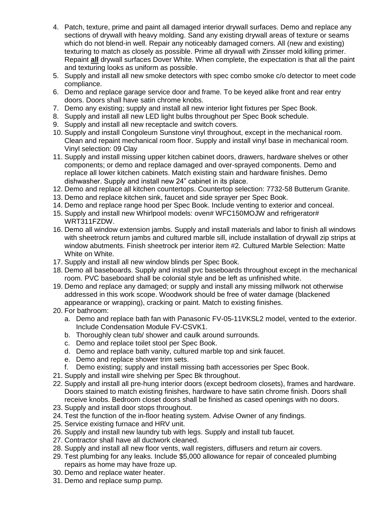- 4. Patch, texture, prime and paint all damaged interior drywall surfaces. Demo and replace any sections of drywall with heavy molding. Sand any existing drywall areas of texture or seams which do not blend-in well. Repair any noticeably damaged corners. All (new and existing) texturing to match as closely as possible. Prime all drywall with Zinsser mold killing primer. Repaint **all** drywall surfaces Dover White. When complete, the expectation is that all the paint and texturing looks as uniform as possible.
- 5. Supply and install all new smoke detectors with spec combo smoke c/o detector to meet code compliance.
- 6. Demo and replace garage service door and frame. To be keyed alike front and rear entry doors. Doors shall have satin chrome knobs.
- 7. Demo any existing; supply and install all new interior light fixtures per Spec Book.
- 8. Supply and install all new LED light bulbs throughout per Spec Book schedule.
- 9. Supply and install all new receptacle and switch covers.
- 10. Supply and install Congoleum Sunstone vinyl throughout, except in the mechanical room. Clean and repaint mechanical room floor. Supply and install vinyl base in mechanical room. Vinyl selection: 09 Clay
- 11. Supply and install missing upper kitchen cabinet doors, drawers, hardware shelves or other components; or demo and replace damaged and over-sprayed components. Demo and replace all lower kitchen cabinets. Match existing stain and hardware finishes. Demo dishwasher. Supply and install new 24" cabinet in its place.
- 12. Demo and replace all kitchen countertops. Countertop selection: 7732-58 Butterum Granite.
- 13. Demo and replace kitchen sink, faucet and side sprayer per Spec Book.
- 14. Demo and replace range hood per Spec Book. Include venting to exterior and conceal.
- 15. Supply and install new Whirlpool models: oven# WFC150MOJW and refrigerator# WRT311FZDW.
- 16. Demo all window extension jambs. Supply and install materials and labor to finish all windows with sheetrock return jambs and cultured marble sill, include installation of drywall zip strips at window abutments. Finish sheetrock per interior item #2. Cultured Marble Selection: Matte White on White.
- 17. Supply and install all new window blinds per Spec Book.
- 18. Demo all baseboards. Supply and install pvc baseboards throughout except in the mechanical room. PVC baseboard shall be colonial style and be left as unfinished white.
- 19. Demo and replace any damaged; or supply and install any missing millwork not otherwise addressed in this work scope. Woodwork should be free of water damage (blackened appearance or wrapping), cracking or paint. Match to existing finishes.
- 20. For bathroom:
	- a. Demo and replace bath fan with Panasonic FV-05-11VKSL2 model, vented to the exterior. Include Condensation Module FV-CSVK1.
	- b. Thoroughly clean tub/ shower and caulk around surrounds.
	- c. Demo and replace toilet stool per Spec Book.
	- d. Demo and replace bath vanity, cultured marble top and sink faucet.
	- e. Demo and replace shower trim sets.
	- f. Demo existing; supply and install missing bath accessories per Spec Book.
- 21. Supply and install wire shelving per Spec Bk throughout.
- 22. Supply and install all pre-hung interior doors (except bedroom closets), frames and hardware. Doors stained to match existing finishes, hardware to have satin chrome finish. Doors shall receive knobs. Bedroom closet doors shall be finished as cased openings with no doors.
- 23. Supply and install door stops throughout.
- 24. Test the function of the in-floor heating system. Advise Owner of any findings.
- 25. Service existing furnace and HRV unit.
- 26. Supply and install new laundry tub with legs. Supply and install tub faucet.
- 27. Contractor shall have all ductwork cleaned.
- 28. Supply and install all new floor vents, wall registers, diffusers and return air covers.
- 29. Test plumbing for any leaks. Include \$5,000 allowance for repair of concealed plumbing repairs as home may have froze up.
- 30. Demo and replace water heater.
- 31. Demo and replace sump pump.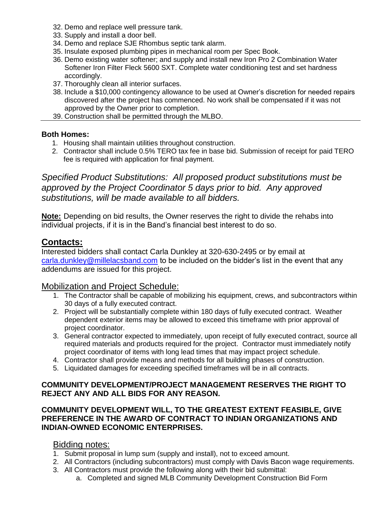- 32. Demo and replace well pressure tank.
- 33. Supply and install a door bell.
- 34. Demo and replace SJE Rhombus septic tank alarm.
- 35. Insulate exposed plumbing pipes in mechanical room per Spec Book.
- 36. Demo existing water softener; and supply and install new Iron Pro 2 Combination Water Softener Iron Filter Fleck 5600 SXT. Complete water conditioning test and set hardness accordingly.
- 37. Thoroughly clean all interior surfaces.
- 38. Include a \$10,000 contingency allowance to be used at Owner's discretion for needed repairs discovered after the project has commenced. No work shall be compensated if it was not approved by the Owner prior to completion.
- 39. Construction shall be permitted through the MLBO.

## **Both Homes:**

- 1. Housing shall maintain utilities throughout construction.
- 2. Contractor shall include 0.5% TERO tax fee in base bid. Submission of receipt for paid TERO fee is required with application for final payment.

*Specified Product Substitutions: All proposed product substitutions must be approved by the Project Coordinator 5 days prior to bid. Any approved substitutions, will be made available to all bidders.*

**Note:** Depending on bid results, the Owner reserves the right to divide the rehabs into individual projects, if it is in the Band's financial best interest to do so.

# **Contacts:**

Interested bidders shall contact Carla Dunkley at 320-630-2495 or by email at [carla.dunkley@millelacsband.com](mailto:carla.dunkley@millelacsband.com) to be included on the bidder's list in the event that any addendums are issued for this project.

## Mobilization and Project Schedule:

- 1. The Contractor shall be capable of mobilizing his equipment, crews, and subcontractors within 30 days of a fully executed contract.
- 2. Project will be substantially complete within 180 days of fully executed contract. Weather dependent exterior items may be allowed to exceed this timeframe with prior approval of project coordinator.
- 3. General contractor expected to immediately, upon receipt of fully executed contract, source all required materials and products required for the project. Contractor must immediately notify project coordinator of items with long lead times that may impact project schedule.
- 4. Contractor shall provide means and methods for all building phases of construction.
- 5. Liquidated damages for exceeding specified timeframes will be in all contracts.

## **COMMUNITY DEVELOPMENT/PROJECT MANAGEMENT RESERVES THE RIGHT TO REJECT ANY AND ALL BIDS FOR ANY REASON.**

## **COMMUNITY DEVELOPMENT WILL, TO THE GREATEST EXTENT FEASIBLE, GIVE PREFERENCE IN THE AWARD OF CONTRACT TO INDIAN ORGANIZATIONS AND INDIAN-OWNED ECONOMIC ENTERPRISES.**

## Bidding notes:

- 1. Submit proposal in lump sum (supply and install), not to exceed amount.
- 2. All Contractors (including subcontractors) must comply with Davis Bacon wage requirements.
- 3. All Contractors must provide the following along with their bid submittal:
	- a. Completed and signed MLB Community Development Construction Bid Form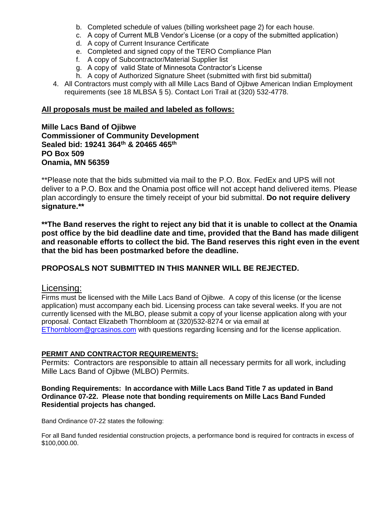- b. Completed schedule of values (billing worksheet page 2) for each house.
- c. A copy of Current MLB Vendor's License (or a copy of the submitted application)
- d. A copy of Current Insurance Certificate
- e. Completed and signed copy of the TERO Compliance Plan
- f. A copy of Subcontractor/Material Supplier list
- g. A copy of valid State of Minnesota Contractor's License
- h. A copy of Authorized Signature Sheet (submitted with first bid submittal)
- 4. All Contractors must comply with all Mille Lacs Band of Ojibwe American Indian Employment requirements (see 18 MLBSA § 5). Contact Lori Trail at (320) 532-4778.

### **All proposals must be mailed and labeled as follows:**

**Mille Lacs Band of Ojibwe Commissioner of Community Development Sealed bid: 19241 364th & 20465 465th PO Box 509 Onamia, MN 56359**

\*\*Please note that the bids submitted via mail to the P.O. Box. FedEx and UPS will not deliver to a P.O. Box and the Onamia post office will not accept hand delivered items. Please plan accordingly to ensure the timely receipt of your bid submittal. **Do not require delivery signature.\*\***

**\*\*The Band reserves the right to reject any bid that it is unable to collect at the Onamia post office by the bid deadline date and time, provided that the Band has made diligent and reasonable efforts to collect the bid. The Band reserves this right even in the event that the bid has been postmarked before the deadline.**

### **PROPOSALS NOT SUBMITTED IN THIS MANNER WILL BE REJECTED.**

### Licensing:

Firms must be licensed with the Mille Lacs Band of Ojibwe. A copy of this license (or the license application) must accompany each bid. Licensing process can take several weeks. If you are not currently licensed with the MLBO, please submit a copy of your license application along with your proposal. Contact Elizabeth Thornbloom at (320)532-8274 or via email at [EThornbloom@grcasinos.com](mailto:EThornbloom@grcasinos.com) with questions regarding licensing and for the license application.

### **PERMIT AND CONTRACTOR REQUIREMENTS:**

Permits: Contractors are responsible to attain all necessary permits for all work, including Mille Lacs Band of Ojibwe (MLBO) Permits.

#### **Bonding Requirements: In accordance with Mille Lacs Band Title 7 as updated in Band Ordinance 07-22. Please note that bonding requirements on Mille Lacs Band Funded Residential projects has changed.**

Band Ordinance 07-22 states the following:

For all Band funded residential construction projects, a performance bond is required for contracts in excess of \$100,000.00.